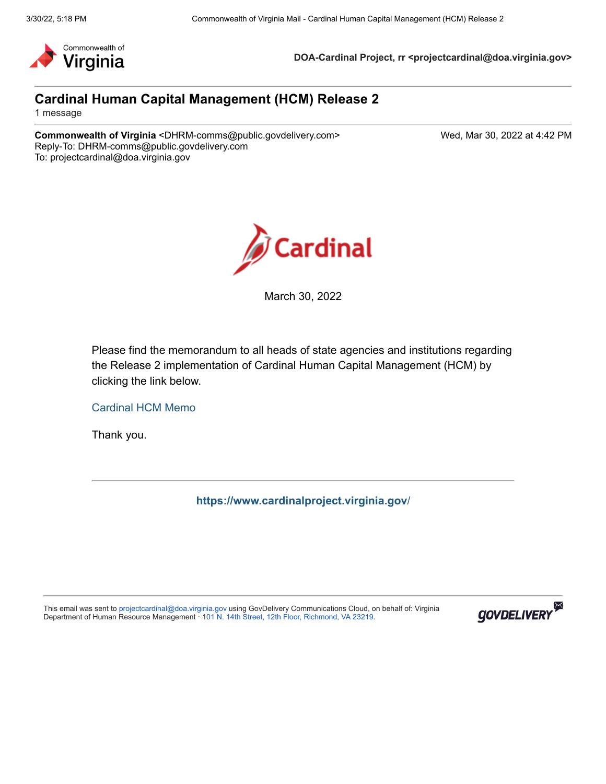

**DOA-Cardinal Project, rr <projectcardinal@doa.virginia.gov>**

## **Cardinal Human Capital Management (HCM) Release 2**

1 message

**Commonwealth of Virginia <DHRM-comms@public.govdelivery.com> Wed, Mar 30, 2022 at 4:42 PM** Reply-To: DHRM-comms@public.govdelivery.com To: projectcardinal@doa.virginia.gov



March 30, 2022

Please find the memorandum to all heads of state agencies and institutions regarding the Release 2 implementation of Cardinal Human Capital Management (HCM) by clicking the link below.

[Cardinal HCM Memo](https://lnks.gd/l/eyJhbGciOiJIUzI1NiJ9.eyJidWxsZXRpbl9saW5rX2lkIjoxMDAsInVyaSI6ImJwMjpjbGljayIsImJ1bGxldGluX2lkIjoiMjAyMjAzMzAuNTU2OTMxODEiLCJ1cmwiOiJodHRwczovL3d3dy5kaHJtLnZpcmdpbmlhLmdvdi9kb2NzL2RlZmF1bHQtc291cmNlL2hyL2NhcmRpbmFsLWpvaW50LW1lbW8tMDMzMDIyLnBkZiJ9.gQcKcPtds7GJWxqKQt3XjOEFl7FxJdRQJ6b5W2tDYTU/s/2176652496/br/128880058308-l)

Thank you.

**[https://www.cardinalproject.virginia.gov](https://lnks.gd/l/eyJhbGciOiJIUzI1NiJ9.eyJidWxsZXRpbl9saW5rX2lkIjoxMDEsInVyaSI6ImJwMjpjbGljayIsImJ1bGxldGluX2lkIjoiMjAyMjAzMzAuNTU2OTMxODEiLCJ1cmwiOiJodHRwczovL3d3dy5jYXJkaW5hbHByb2plY3QudmlyZ2luaWEuZ292LyJ9.OUugPQwzrWCQdzRCh5HsKtbY0yDv11pDAxzvtjI3WzM/s/2176652496/br/128880058308-l)**/

This email was sent to [projectcardinal@doa.virginia.gov](mailto:projectcardinal@doa.virginia.gov) using GovDelivery Communications Cloud, on behalf of: Virginia Department of Human Resource Management 1[01 N. 14th Street, 12th Floor, Richmond, VA 23219](https://www.google.com/maps/search/01+N.+14th+Street,+12th+Floor,+Richmond,+VA+23219?entry=gmail&source=g).

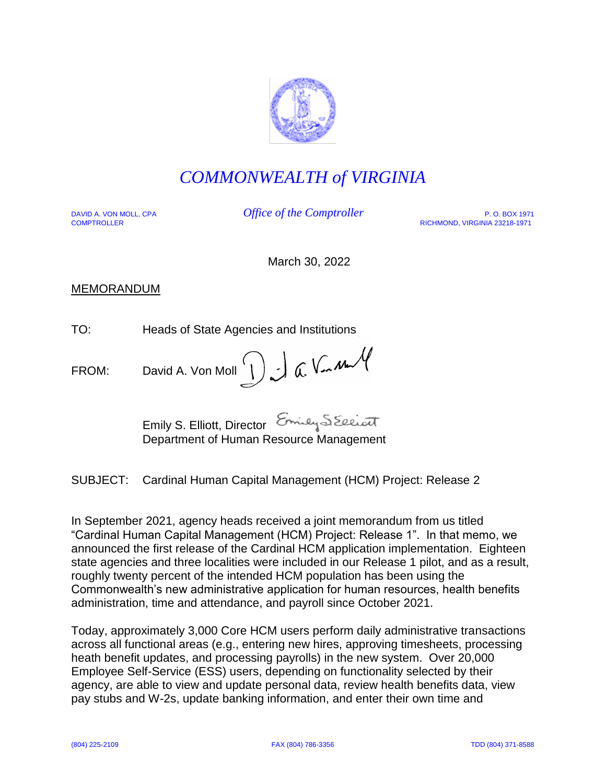

## *COMMONWEALTH of VIRGINIA*

DAVID A. VON MOLL, CPA *Office of the Comptroller* P. O. BOX 1971 RICHMOND, VIRGINIA 23218-1971

March 30, 2022

MEMORANDUM

TO: Heads of State Agencies and Institutions

FROM: David A. Von Moll  $\bigcup_{m=1}^{\infty} \bigcup_{m=1}^{\infty} \bigcup_{m=1}^{\infty} M_m$ 

Emily S. Elliott, Director Emily S Eleiott Department of Human Resource Management

SUBJECT: Cardinal Human Capital Management (HCM) Project: Release 2

In September 2021, agency heads received a joint memorandum from us titled "Cardinal Human Capital Management (HCM) Project: Release 1". In that memo, we announced the first release of the Cardinal HCM application implementation. Eighteen state agencies and three localities were included in our Release 1 pilot, and as a result, roughly twenty percent of the intended HCM population has been using the Commonwealth's new administrative application for human resources, health benefits administration, time and attendance, and payroll since October 2021.

Today, approximately 3,000 Core HCM users perform daily administrative transactions across all functional areas (e.g., entering new hires, approving timesheets, processing heath benefit updates, and processing payrolls) in the new system. Over 20,000 Employee Self-Service (ESS) users, depending on functionality selected by their agency, are able to view and update personal data, review health benefits data, view pay stubs and W-2s, update banking information, and enter their own time and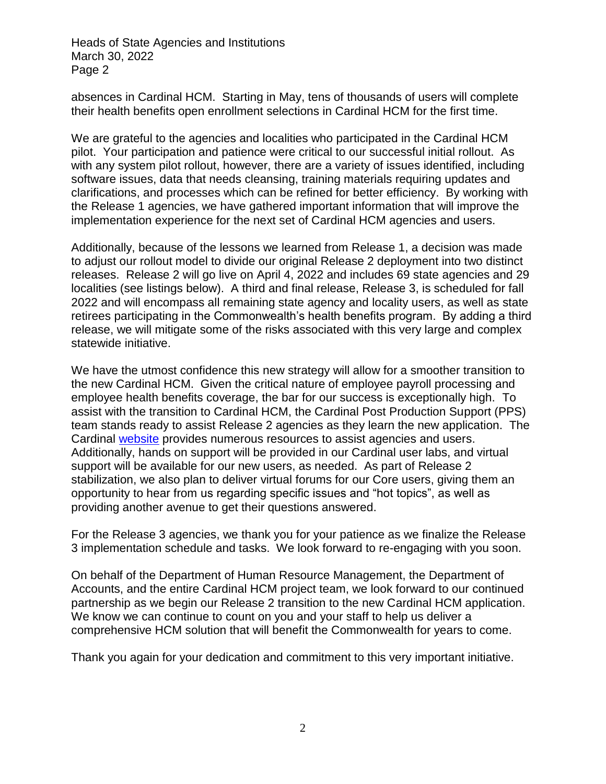absences in Cardinal HCM. Starting in May, tens of thousands of users will complete their health benefits open enrollment selections in Cardinal HCM for the first time.

We are grateful to the agencies and localities who participated in the Cardinal HCM pilot. Your participation and patience were critical to our successful initial rollout. As with any system pilot rollout, however, there are a variety of issues identified, including software issues, data that needs cleansing, training materials requiring updates and clarifications, and processes which can be refined for better efficiency. By working with the Release 1 agencies, we have gathered important information that will improve the implementation experience for the next set of Cardinal HCM agencies and users.

Additionally, because of the lessons we learned from Release 1, a decision was made to adjust our rollout model to divide our original Release 2 deployment into two distinct releases. Release 2 will go live on April 4, 2022 and includes 69 state agencies and 29 localities (see listings below). A third and final release, Release 3, is scheduled for fall 2022 and will encompass all remaining state agency and locality users, as well as state retirees participating in the Commonwealth's health benefits program. By adding a third release, we will mitigate some of the risks associated with this very large and complex statewide initiative.

We have the utmost confidence this new strategy will allow for a smoother transition to the new Cardinal HCM. Given the critical nature of employee payroll processing and employee health benefits coverage, the bar for our success is exceptionally high. To assist with the transition to Cardinal HCM, the Cardinal Post Production Support (PPS) team stands ready to assist Release 2 agencies as they learn the new application. The Cardinal [website](https://www.cardinalproject.virginia.gov/) provides numerous resources to assist agencies and users. Additionally, hands on support will be provided in our Cardinal user labs, and virtual support will be available for our new users, as needed. As part of Release 2 stabilization, we also plan to deliver virtual forums for our Core users, giving them an opportunity to hear from us regarding specific issues and "hot topics", as well as providing another avenue to get their questions answered.

For the Release 3 agencies, we thank you for your patience as we finalize the Release 3 implementation schedule and tasks. We look forward to re-engaging with you soon.

On behalf of the Department of Human Resource Management, the Department of Accounts, and the entire Cardinal HCM project team, we look forward to our continued partnership as we begin our Release 2 transition to the new Cardinal HCM application. We know we can continue to count on you and your staff to help us deliver a comprehensive HCM solution that will benefit the Commonwealth for years to come.

Thank you again for your dedication and commitment to this very important initiative.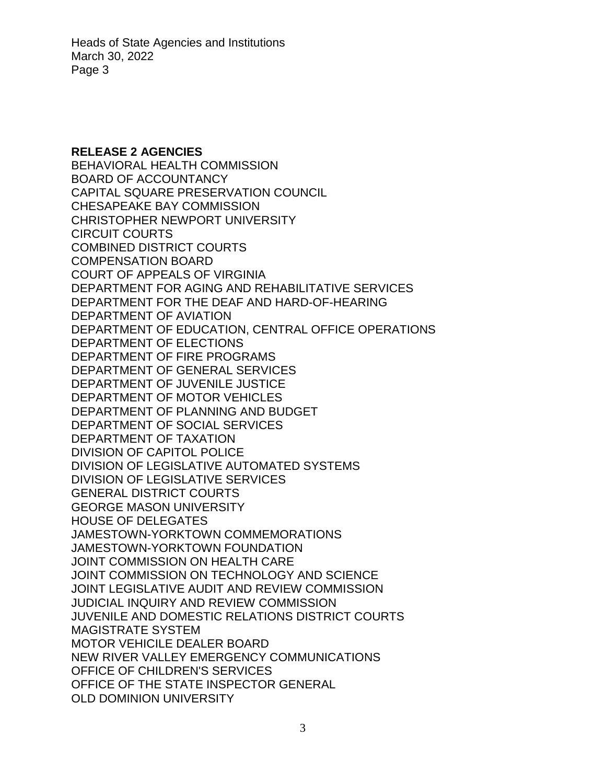## **RELEASE 2 AGENCIES**

BEHAVIORAL HEALTH COMMISSION BOARD OF ACCOUNTANCY CAPITAL SQUARE PRESERVATION COUNCIL CHESAPEAKE BAY COMMISSION CHRISTOPHER NEWPORT UNIVERSITY CIRCUIT COURTS COMBINED DISTRICT COURTS COMPENSATION BOARD COURT OF APPEALS OF VIRGINIA DEPARTMENT FOR AGING AND REHABILITATIVE SERVICES DEPARTMENT FOR THE DEAF AND HARD-OF-HEARING DEPARTMENT OF AVIATION DEPARTMENT OF EDUCATION, CENTRAL OFFICE OPERATIONS DEPARTMENT OF ELECTIONS DEPARTMENT OF FIRE PROGRAMS DEPARTMENT OF GENERAL SERVICES DEPARTMENT OF JUVENILE JUSTICE DEPARTMENT OF MOTOR VEHICLES DEPARTMENT OF PLANNING AND BUDGET DEPARTMENT OF SOCIAL SERVICES DEPARTMENT OF TAXATION DIVISION OF CAPITOL POLICE DIVISION OF LEGISLATIVE AUTOMATED SYSTEMS DIVISION OF LEGISLATIVE SERVICES GENERAL DISTRICT COURTS GEORGE MASON UNIVERSITY HOUSE OF DELEGATES JAMESTOWN-YORKTOWN COMMEMORATIONS JAMESTOWN-YORKTOWN FOUNDATION JOINT COMMISSION ON HEALTH CARE JOINT COMMISSION ON TECHNOLOGY AND SCIENCE JOINT LEGISLATIVE AUDIT AND REVIEW COMMISSION JUDICIAL INQUIRY AND REVIEW COMMISSION JUVENILE AND DOMESTIC RELATIONS DISTRICT COURTS MAGISTRATE SYSTEM MOTOR VEHICILE DEALER BOARD NEW RIVER VALLEY EMERGENCY COMMUNICATIONS OFFICE OF CHILDREN'S SERVICES OFFICE OF THE STATE INSPECTOR GENERAL OLD DOMINION UNIVERSITY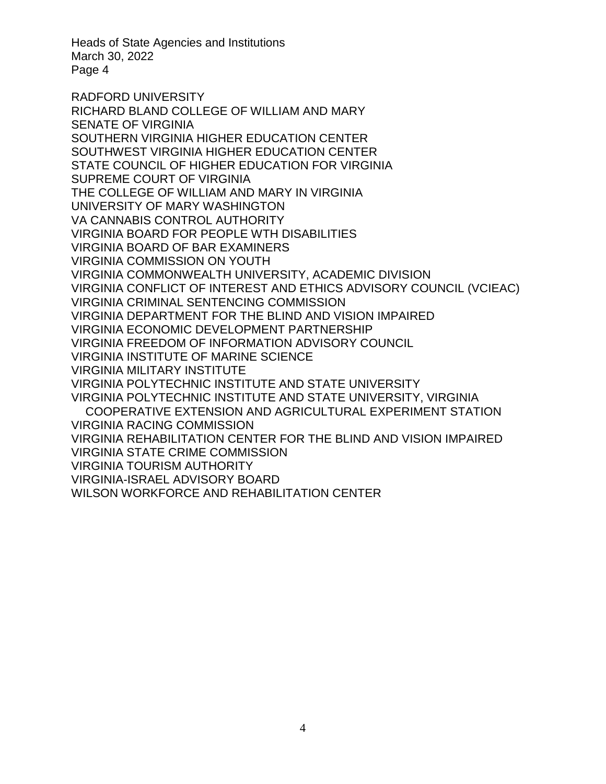RADFORD UNIVERSITY RICHARD BLAND COLLEGE OF WILLIAM AND MARY SENATE OF VIRGINIA SOUTHERN VIRGINIA HIGHER EDUCATION CENTER SOUTHWEST VIRGINIA HIGHER EDUCATION CENTER STATE COUNCIL OF HIGHER EDUCATION FOR VIRGINIA SUPREME COURT OF VIRGINIA THE COLLEGE OF WILLIAM AND MARY IN VIRGINIA UNIVERSITY OF MARY WASHINGTON VA CANNABIS CONTROL AUTHORITY VIRGINIA BOARD FOR PEOPLE WTH DISABILITIES VIRGINIA BOARD OF BAR EXAMINERS VIRGINIA COMMISSION ON YOUTH VIRGINIA COMMONWEALTH UNIVERSITY, ACADEMIC DIVISION VIRGINIA CONFLICT OF INTEREST AND ETHICS ADVISORY COUNCIL (VCIEAC) VIRGINIA CRIMINAL SENTENCING COMMISSION VIRGINIA DEPARTMENT FOR THE BLIND AND VISION IMPAIRED VIRGINIA ECONOMIC DEVELOPMENT PARTNERSHIP VIRGINIA FREEDOM OF INFORMATION ADVISORY COUNCIL VIRGINIA INSTITUTE OF MARINE SCIENCE VIRGINIA MILITARY INSTITUTE VIRGINIA POLYTECHNIC INSTITUTE AND STATE UNIVERSITY VIRGINIA POLYTECHNIC INSTITUTE AND STATE UNIVERSITY, VIRGINIA COOPERATIVE EXTENSION AND AGRICULTURAL EXPERIMENT STATION VIRGINIA RACING COMMISSION VIRGINIA REHABILITATION CENTER FOR THE BLIND AND VISION IMPAIRED VIRGINIA STATE CRIME COMMISSION VIRGINIA TOURISM AUTHORITY VIRGINIA-ISRAEL ADVISORY BOARD WILSON WORKFORCE AND REHABILITATION CENTER